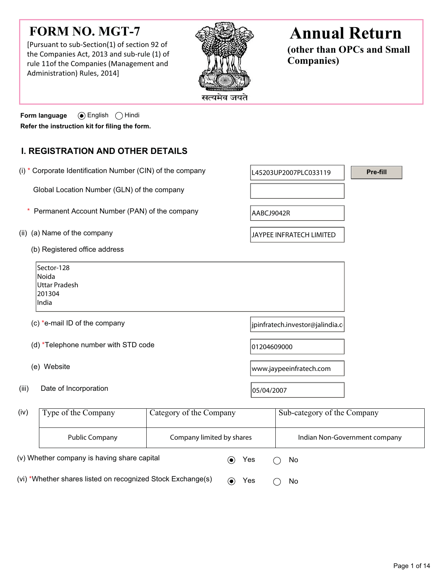# **FORM NO. MGT-7**

[Pursuant to sub-Section(1) of section 92 of the Companies Act, 2013 and sub-rule (1) of rule 11of the Companies (Management and Administration) Rules, 2014]



# **Annual Return**

**(other than OPCs and Small Companies)**

**Pre-fill**

**Form language** English Hindi **Refer the instruction kit for filing the form.**

## **I. REGISTRATION AND OTHER DETAILS**

- (i) \* Corporate Identification Number (CIN) of the company  $\vert$  [45203UP2007PLC033119 Global Location Number (GLN) of the company (ii) (a) Name of the company  $|JAYPEE|$  INFRATECH LIMITED (b) Registered office address \* Permanent Account Number (PAN) of the company  $AABCJ9042R$ 
	- Sector-128 Noida Uttar Pradesh 201304 India (c) \*e-mail ID of the company interval in the set of the company  $\int$ jpinfratech.investor@jalindia.com
	- (d)  $*$ Telephone number with STD code  $|01204609000$
	-
- (iii) Date of Incorporation  $|05/04/2007|$

(e) Website www.jaypeeinfratech.com

| (iv)                                                        | Type of the Company | Category of the Company   |     |  | Sub-category of the Company   |  |  |
|-------------------------------------------------------------|---------------------|---------------------------|-----|--|-------------------------------|--|--|
|                                                             | Public Company      | Company limited by shares |     |  | Indian Non-Government company |  |  |
| (v) Whether company is having share capital                 |                     |                           | Yes |  | No.                           |  |  |
| (vi) *Whether shares listed on recognized Stock Exchange(s) |                     |                           | Yes |  | <b>No</b>                     |  |  |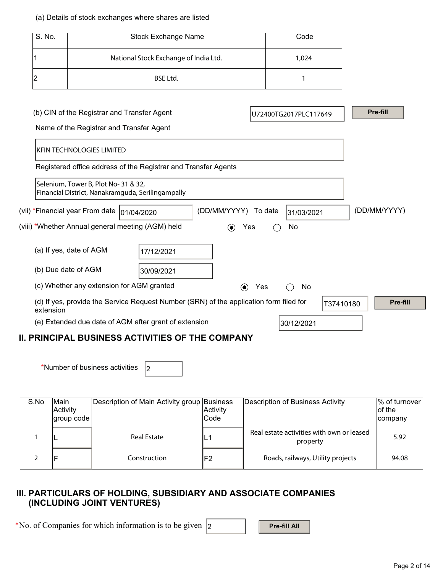### (a) Details of stock exchanges where shares are listed

| S. No.                                                  |                                                                                           |                                                                                        | Code                     |     |                       |           |  |              |
|---------------------------------------------------------|-------------------------------------------------------------------------------------------|----------------------------------------------------------------------------------------|--------------------------|-----|-----------------------|-----------|--|--------------|
|                                                         | National Stock Exchange of India Ltd.                                                     |                                                                                        |                          |     | 1,024                 |           |  |              |
| 2                                                       |                                                                                           | <b>BSE Ltd.</b>                                                                        |                          |     | 1                     |           |  |              |
|                                                         |                                                                                           |                                                                                        |                          |     |                       |           |  |              |
|                                                         | (b) CIN of the Registrar and Transfer Agent                                               |                                                                                        |                          |     | U72400TG2017PLC117649 |           |  | Pre-fill     |
|                                                         | Name of the Registrar and Transfer Agent                                                  |                                                                                        |                          |     |                       |           |  |              |
|                                                         | <b>KFIN TECHNOLOGIES LIMITED</b>                                                          |                                                                                        |                          |     |                       |           |  |              |
|                                                         |                                                                                           | Registered office address of the Registrar and Transfer Agents                         |                          |     |                       |           |  |              |
|                                                         | Selenium, Tower B, Plot No- 31 & 32,<br>Financial District, Nanakramguda, Serilingampally |                                                                                        |                          |     |                       |           |  |              |
|                                                         | (vii) *Financial year From date  01/04/2020                                               |                                                                                        | (DD/MM/YYYY) To date     |     | 31/03/2021            |           |  | (DD/MM/YYYY) |
|                                                         | (viii) *Whether Annual general meeting (AGM) held                                         |                                                                                        | $\bf{(\bullet)}$<br>Yes  |     | No                    |           |  |              |
|                                                         | (a) If yes, date of AGM                                                                   | 17/12/2021                                                                             |                          |     |                       |           |  |              |
|                                                         | (b) Due date of AGM                                                                       | 30/09/2021                                                                             |                          |     |                       |           |  |              |
|                                                         | (c) Whether any extension for AGM granted                                                 |                                                                                        | $\left( \bullet \right)$ | Yes | No                    |           |  |              |
| extension                                               |                                                                                           | (d) If yes, provide the Service Request Number (SRN) of the application form filed for |                          |     |                       | T37410180 |  | Pre-fill     |
|                                                         |                                                                                           | (e) Extended due date of AGM after grant of extension                                  |                          |     | 30/12/2021            |           |  |              |
| <b>II. PRINCIPAL BUSINESS ACTIVITIES OF THE COMPANY</b> |                                                                                           |                                                                                        |                          |     |                       |           |  |              |

\*Number of business activities  $\vert_2$ 

| S.No | Main<br>Activity<br>group code | Description of Main Activity group Business | Activity<br>Code | Description of Business Activity                      | $%$ of turnover<br>lof the<br><b>company</b> |
|------|--------------------------------|---------------------------------------------|------------------|-------------------------------------------------------|----------------------------------------------|
|      |                                | <b>Real Estate</b>                          | L.,              | Real estate activities with own or leased<br>property | 5.92                                         |
|      | ΙF                             | Construction                                | F2               | Roads, railways, Utility projects                     | 94.08                                        |

## **III. PARTICULARS OF HOLDING, SUBSIDIARY AND ASSOCIATE COMPANIES (INCLUDING JOINT VENTURES)**

\*No. of Companies for which information is to be given  $\vert$  2 **Pre-fill All**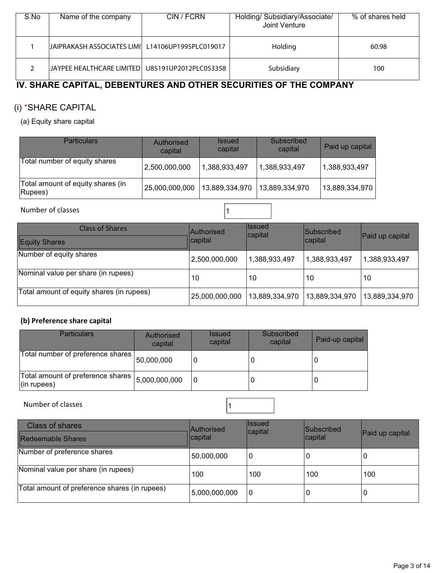| S.No | Name of the company                               | CIN / FCRN | Holding/ Subsidiary/Associate/<br>Joint Venture | % of shares held |
|------|---------------------------------------------------|------------|-------------------------------------------------|------------------|
|      | JAIPRAKASH ASSOCIATES LIMI L14106UP1995PLC019017  |            | Holding                                         | 60.98            |
|      | JAYPEE HEALTHCARE LIMITED   U85191UP2012PLC053358 |            | Subsidiary                                      | 100              |

## **IV. SHARE CAPITAL, DEBENTURES AND OTHER SECURITIES OF THE COMPANY**

## (i) \*SHARE CAPITAL

(a) Equity share capital

| <b>Particulars</b>                           | Authorised<br>capital | <i><b>Issued</b></i><br>capital | Subscribed<br>capital | Paid up capital |
|----------------------------------------------|-----------------------|---------------------------------|-----------------------|-----------------|
| Total number of equity shares                | 2,500,000,000         | 1,388,933,497                   | 1,388,933,497         | 1,388,933,497   |
| Total amount of equity shares (in<br>Rupees) | 25,000,000,000        | 13,889,334,970                  | 13,889,334,970        | 13,889,334,970  |

Number of classes 2008 and 2008 and 2008 and 2008 and 2008 and 2008 and 2008 and 2008 and 2008 and 2008 and 20

| Class of Shares<br>Equity Shares          | <b>Authorised</b><br>capital | <b>Issued</b><br>capital | <b>Subscribed</b><br>∣capital | Paid up capital |
|-------------------------------------------|------------------------------|--------------------------|-------------------------------|-----------------|
| Number of equity shares                   | 2,500,000,000                | 1,388,933,497            | 1,388,933,497                 | 1,388,933,497   |
| Nominal value per share (in rupees)       | 10                           | 10                       | 10                            | 10              |
| Total amount of equity shares (in rupees) | 25,000,000,000               | 13,889,334,970           | 13,889,334,970                | 13,889,334,970  |

## **(b) Preference share capital**

| <b>Particulars</b>                                       | Authorised<br>capital | <b>Issued</b><br>capital | Subscribed<br>capital | Paid-up capital |
|----------------------------------------------------------|-----------------------|--------------------------|-----------------------|-----------------|
| Total number of preference shares                        | 50,000,000            |                          |                       |                 |
| Total amount of preference shares  <br>$($ in rupees $)$ | 5,000,000,000         |                          |                       |                 |

Number of classes  $\boxed{1}$ 

| <b>Class of shares</b><br>Redeemable Shares   | <b>Authorised</b><br>capital | <b>Issued</b><br>capital | Subscribed<br>capital | Paid up capital |
|-----------------------------------------------|------------------------------|--------------------------|-----------------------|-----------------|
| Number of preference shares                   | 50,000,000                   | 0                        | 0                     | 0               |
| Nominal value per share (in rupees)           | 100                          | 100                      | 100                   | 100             |
| Total amount of preference shares (in rupees) | 5,000,000,000                | ۱0                       | 0                     | O               |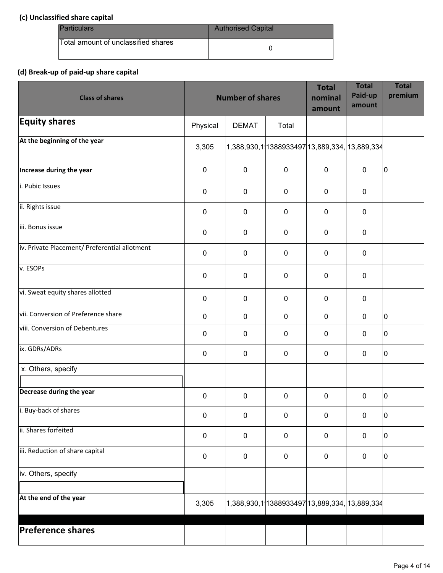## **(c) Unclassified share capital**

| <b>Particulars</b>                   | <b>Authorised Capital</b> |
|--------------------------------------|---------------------------|
| lTotal amount of unclassified shares |                           |

## **(d) Break-up of paid-up share capital**

| <b>Class of shares</b>                        |             | <b>Number of shares</b> |                                               | <b>Total</b><br>nominal<br>amount | <b>Total</b><br>Paid-up<br>amount | <b>Total</b><br>premium |
|-----------------------------------------------|-------------|-------------------------|-----------------------------------------------|-----------------------------------|-----------------------------------|-------------------------|
| <b>Equity shares</b>                          | Physical    | <b>DEMAT</b>            | Total                                         |                                   |                                   |                         |
| At the beginning of the year                  | 3,305       |                         | 1,388,930,1 1388933497 13,889,334, 13,889,334 |                                   |                                   |                         |
| Increase during the year                      | $\pmb{0}$   | $\mathbf 0$             | $\mathbf 0$                                   | $\mathbf 0$                       | $\mathbf 0$                       | 10                      |
| i. Pubic Issues                               | $\mathbf 0$ | $\mathbf 0$             | $\mathbf 0$                                   | $\mathbf 0$                       | $\mathbf 0$                       |                         |
| ii. Rights issue                              | $\mathbf 0$ | $\mathbf 0$             | $\mathbf 0$                                   | $\mathbf 0$                       | $\mathbf 0$                       |                         |
| iii. Bonus issue                              | 0           | $\mathbf 0$             | $\mathbf 0$                                   | $\mathbf 0$                       | $\mathbf 0$                       |                         |
| iv. Private Placement/ Preferential allotment | $\mathbf 0$ | $\mathbf 0$             | $\mathbf 0$                                   | $\mathbf 0$                       | $\mathbf 0$                       |                         |
| v. ESOPs                                      | $\mathbf 0$ | $\mathbf 0$             | $\mathbf 0$                                   | $\mathbf 0$                       | $\mathbf 0$                       |                         |
| vi. Sweat equity shares allotted              | $\mathbf 0$ | $\mathbf 0$             | $\mathbf 0$                                   | $\mathbf 0$                       | $\mathbf 0$                       |                         |
| vii. Conversion of Preference share           | $\mathbf 0$ | $\mathbf 0$             | $\mathbf 0$                                   | $\mathbf 0$                       | $\mathbf 0$                       | 10                      |
| viii. Conversion of Debentures                | $\pmb{0}$   | $\mathbf 0$             | $\pmb{0}$                                     | $\mathbf 0$                       | $\mathbf 0$                       | 10                      |
| ix. GDRs/ADRs                                 | $\pmb{0}$   | $\mathbf 0$             | $\mathbf 0$                                   | $\mathbf 0$                       | $\mathbf 0$                       | 10                      |
| x. Others, specify                            |             |                         |                                               |                                   |                                   |                         |
| Decrease during the year                      | 0           | 0                       | $\mathbf 0$                                   | $\mathbf 0$                       | $\mathbf 0$                       | 10                      |
| i. Buy-back of shares                         | $\pmb{0}$   | $\pmb{0}$               | $\pmb{0}$                                     | $\pmb{0}$                         | $\pmb{0}$                         | 10                      |
| ii. Shares forfeited                          | $\pmb{0}$   | $\mathbf 0$             | $\pmb{0}$                                     | $\mathbf 0$                       | 0                                 | 10                      |
| iii. Reduction of share capital               | $\pmb{0}$   | $\mathbf 0$             | $\pmb{0}$                                     | $\mathbf 0$                       | $\pmb{0}$                         | 10                      |
| iv. Others, specify                           |             |                         |                                               |                                   |                                   |                         |
| At the end of the year                        | 3,305       |                         | 1,388,930,1 1388933497 13,889,334, 13,889,334 |                                   |                                   |                         |
| <b>Preference shares</b>                      |             |                         |                                               |                                   |                                   |                         |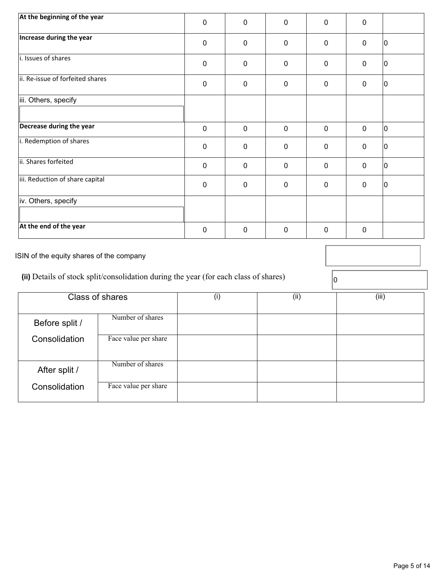| At the beginning of the year     |             |             |                |                |             |    |
|----------------------------------|-------------|-------------|----------------|----------------|-------------|----|
|                                  | $\mathbf 0$ | $\mathbf 0$ | $\mathbf 0$    | $\mathbf 0$    | $\mathbf 0$ |    |
| Increase during the year         | $\mathbf 0$ | $\mathbf 0$ | $\mathbf 0$    | $\mathbf 0$    | $\mathbf 0$ | 10 |
| i. Issues of shares              | $\pmb{0}$   | $\mathbf 0$ | $\mathbf 0$    | $\overline{0}$ | $\mathbf 0$ | 10 |
| ii. Re-issue of forfeited shares | $\mathbf 0$ | $\mathbf 0$ | $\mathbf 0$    | $\mathbf 0$    | $\mathbf 0$ | 10 |
| iii. Others, specify             |             |             |                |                |             |    |
| Decrease during the year         | $\mathbf 0$ | $\mathbf 0$ | $\mathbf 0$    | $\mathbf 0$    | $\mathbf 0$ | 10 |
| i. Redemption of shares          | $\mathbf 0$ | $\mathbf 0$ | $\mathbf 0$    | $\mathbf 0$    | $\mathbf 0$ | 10 |
| ii. Shares forfeited             | $\mathbf 0$ | $\mathbf 0$ | $\mathbf 0$    | $\mathbf 0$    | $\mathbf 0$ | 10 |
| iii. Reduction of share capital  | $\mathbf 0$ | $\mathbf 0$ | $\overline{0}$ | $\mathbf 0$    | $\mathbf 0$ | 10 |
| iv. Others, specify              |             |             |                |                |             |    |
| At the end of the year           | $\mathbf 0$ | 0           | $\mathbf 0$    | 0              | $\mathbf 0$ |    |

ISIN of the equity shares of the company

(ii) Details of stock split/consolidation during the year (for each class of shares)  $\boxed{0}$ 

|                | Class of shares      | (i) | (ii) | (iii) |
|----------------|----------------------|-----|------|-------|
| Before split / | Number of shares     |     |      |       |
| Consolidation  | Face value per share |     |      |       |
| After split /  | Number of shares     |     |      |       |
| Consolidation  | Face value per share |     |      |       |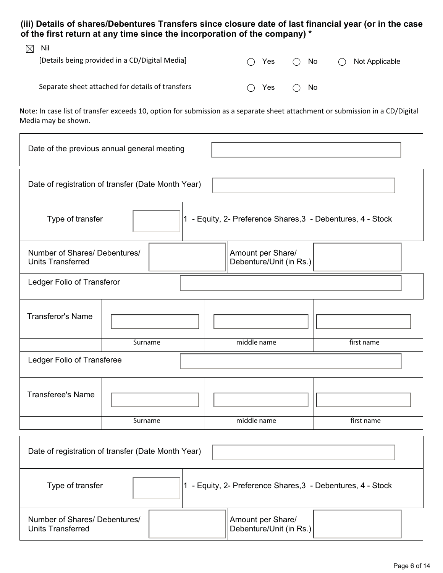**(iii) Details of shares/Debentures Transfers since closure date of last financial year (or in the case of the first return at any time since the incorporation of the company) \*** 

| $\boxtimes$ Nil | [Details being provided in a CD/Digital Media]   | Yes<br>$($ ) | $\bigcap$ No  | Not Applicable<br>$($ ) |
|-----------------|--------------------------------------------------|--------------|---------------|-------------------------|
|                 | Separate sheet attached for details of transfers | Yes<br>$($ ) | $\bigcirc$ No |                         |

Note: In case list of transfer exceeds 10, option for submission as a separate sheet attachment or submission in a CD/Digital Media may be shown.

| Date of the previous annual general meeting                                     |                                                                               |  |                                                             |            |
|---------------------------------------------------------------------------------|-------------------------------------------------------------------------------|--|-------------------------------------------------------------|------------|
| Date of registration of transfer (Date Month Year)                              |                                                                               |  |                                                             |            |
| 1 - Equity, 2- Preference Shares, 3 - Debentures, 4 - Stock<br>Type of transfer |                                                                               |  |                                                             |            |
| <b>Units Transferred</b>                                                        | Number of Shares/ Debentures/<br>Amount per Share/<br>Debenture/Unit (in Rs.) |  |                                                             |            |
| Ledger Folio of Transferor                                                      |                                                                               |  |                                                             |            |
| <b>Transferor's Name</b>                                                        |                                                                               |  |                                                             |            |
|                                                                                 | Surname                                                                       |  | middle name                                                 | first name |
| Ledger Folio of Transferee                                                      |                                                                               |  |                                                             |            |
| <b>Transferee's Name</b>                                                        |                                                                               |  |                                                             |            |
|                                                                                 | Surname                                                                       |  | middle name                                                 | first name |
| Date of registration of transfer (Date Month Year)                              |                                                                               |  |                                                             |            |
| Type of transfer                                                                |                                                                               |  | 1 - Equity, 2- Preference Shares, 3 - Debentures, 4 - Stock |            |

| Number of Shares/ Debentures/<br><b>Units Transferred</b> | Amount per Share/<br>IDebenture/Unit (in Rs.) |  |
|-----------------------------------------------------------|-----------------------------------------------|--|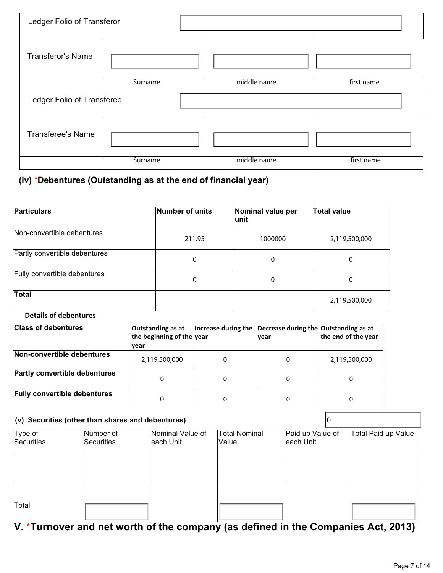| Ledger Folio of Transferor |         |             |            |
|----------------------------|---------|-------------|------------|
| <b>Transferor's Name</b>   |         |             |            |
|                            | Surname | middle name | first name |
|                            |         |             |            |
| Ledger Folio of Transferee |         |             |            |
| <b>Transferee's Name</b>   |         |             |            |

## **(iv)** \***Debentures (Outstanding as at the end of financial year)**

| <b>Particulars</b>            | Number of units | Nominal value per<br>lunit | <b>Total value</b> |
|-------------------------------|-----------------|----------------------------|--------------------|
| Non-convertible debentures    | 211.95          | 1000000                    | 2,119,500,000      |
| Partly convertible debentures | 0               | 0                          | 0                  |
| Fully convertible debentures  | 0               | 0                          | 0                  |
| <b>Total</b>                  |                 |                            | 2,119,500,000      |

## **Details of debentures**

| <b>Class of debentures</b>           | Outstanding as at<br>the beginning of the year<br> vear |   | Increase during the $\vert$ Decrease during the Outstanding as at<br><b>vear</b> | the end of the year |
|--------------------------------------|---------------------------------------------------------|---|----------------------------------------------------------------------------------|---------------------|
| Non-convertible debentures           | 2,119,500,000                                           | 0 | 0                                                                                | 2,119,500,000       |
| <b>Partly convertible debentures</b> | 0                                                       | 0 | 0                                                                                | 0                   |
| <b>Fully convertible debentures</b>  | 0                                                       | 0 | 0                                                                                | 0                   |

## **(v) Securities (other than shares and debentures)** 0

| Type of<br>Securities | Number of<br>Securities | Nominal Value of<br>each Unit | <b>Total Nominal</b><br>Value | Paid up Value of<br>each Unit | <b>Total Paid up Value</b> |
|-----------------------|-------------------------|-------------------------------|-------------------------------|-------------------------------|----------------------------|
|                       |                         |                               |                               |                               |                            |
|                       |                         |                               |                               |                               |                            |
|                       |                         |                               |                               |                               |                            |
|                       |                         |                               |                               |                               |                            |
| Total                 |                         |                               |                               |                               |                            |

## **V. \*Turnover and net worth of the company (as defined in the Companies Act, 2013)**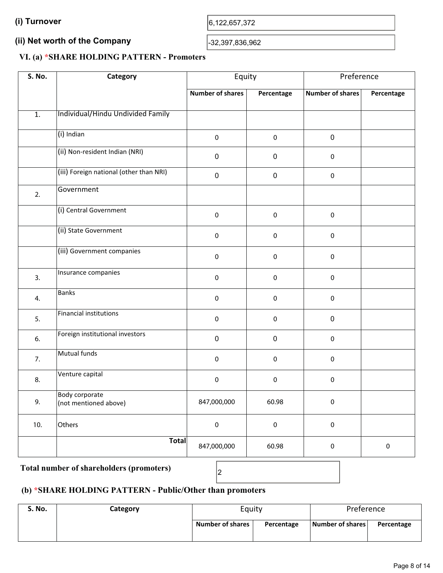## **(ii) Net worth of the Company**  (ii) Net worth of the Company<br> $\begin{array}{|l|l|}\n\hline\n\end{array}$

## **VI. (a) \*SHARE HOLDING PATTERN - Promoters**

| <b>S. No.</b>    | Category                                       | Equity                  |             | Preference              |            |
|------------------|------------------------------------------------|-------------------------|-------------|-------------------------|------------|
|                  |                                                | <b>Number of shares</b> | Percentage  | <b>Number of shares</b> | Percentage |
| $\overline{1}$ . | Individual/Hindu Undivided Family              |                         |             |                         |            |
|                  | (i) Indian                                     | $\pmb{0}$               | $\pmb{0}$   | $\pmb{0}$               |            |
|                  | (ii) Non-resident Indian (NRI)                 | $\mathbf 0$             | $\pmb{0}$   | $\pmb{0}$               |            |
|                  | (iii) Foreign national (other than NRI)        | $\mathbf 0$             | $\pmb{0}$   | $\pmb{0}$               |            |
| 2.               | Government                                     |                         |             |                         |            |
|                  | (i) Central Government                         | $\pmb{0}$               | $\pmb{0}$   | $\pmb{0}$               |            |
|                  | (ii) State Government                          | $\pmb{0}$               | 0           | $\pmb{0}$               |            |
|                  | (iii) Government companies                     | $\pmb{0}$               | $\pmb{0}$   | $\pmb{0}$               |            |
| 3.               | Insurance companies                            | $\pmb{0}$               | $\mathbf 0$ | $\mathsf 0$             |            |
| 4.               | <b>Banks</b>                                   | $\pmb{0}$               | 0           | $\pmb{0}$               |            |
| 5.               | <b>Financial institutions</b>                  | $\pmb{0}$               | $\pmb{0}$   | $\pmb{0}$               |            |
| 6.               | Foreign institutional investors                | $\mathbf 0$             | $\mathbf 0$ | $\mathbf 0$             |            |
| 7.               | Mutual funds                                   | 0                       | 0           | $\pmb{0}$               |            |
| 8.               | Venture capital                                | 0                       | $\pmb{0}$   | 0                       |            |
| 9.               | <b>Body corporate</b><br>(not mentioned above) | 847,000,000             | 60.98       | $\pmb{0}$               |            |
| 10.              | Others                                         | $\pmb{0}$               | $\pmb{0}$   | $\pmb{0}$               |            |
|                  | <b>Total</b>                                   | 847,000,000             | 60.98       | $\pmb{0}$               | $\pmb{0}$  |

## Total number of shareholders (promoters)  $\begin{bmatrix} 2 \end{bmatrix}$

## **(b) \*SHARE HOLDING PATTERN - Public/Other than promoters**

| <b>S. No.</b> | Category | Equity                  |            | Preference       |            |  |
|---------------|----------|-------------------------|------------|------------------|------------|--|
|               |          | <b>Number of shares</b> | Percentage | Number of shares | Percentage |  |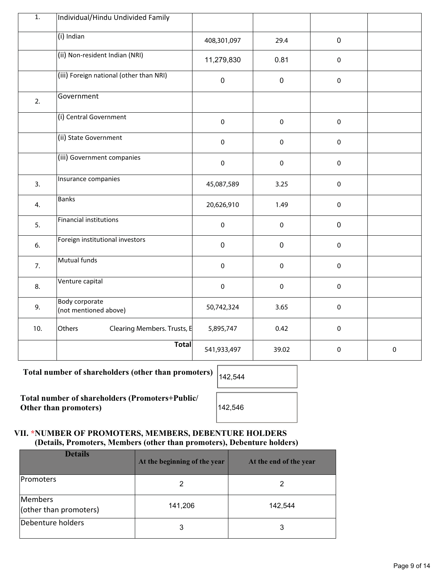| $\overline{1}$ . | Individual/Hindu Undivided Family              |             |           |             |           |
|------------------|------------------------------------------------|-------------|-----------|-------------|-----------|
|                  | $(i)$ Indian                                   | 408,301,097 | 29.4      | $\mathbf 0$ |           |
|                  | (ii) Non-resident Indian (NRI)                 | 11,279,830  | 0.81      | $\mathsf 0$ |           |
|                  | (iii) Foreign national (other than NRI)        | $\pmb{0}$   | $\pmb{0}$ | $\pmb{0}$   |           |
| 2.               | Government                                     |             |           |             |           |
|                  | (i) Central Government                         | $\pmb{0}$   | $\pmb{0}$ | $\mathbf 0$ |           |
|                  | (ii) State Government                          | $\pmb{0}$   | $\pmb{0}$ | $\pmb{0}$   |           |
|                  | (iii) Government companies                     | $\pmb{0}$   | $\pmb{0}$ | $\mathbf 0$ |           |
| 3.               | Insurance companies                            | 45,087,589  | 3.25      | $\mathsf 0$ |           |
| 4.               | <b>Banks</b>                                   | 20,626,910  | 1.49      | $\mathbf 0$ |           |
| 5.               | Financial institutions                         | $\pmb{0}$   | $\pmb{0}$ | $\mathbf 0$ |           |
| 6.               | Foreign institutional investors                | $\pmb{0}$   | $\pmb{0}$ | $\pmb{0}$   |           |
| 7.               | Mutual funds                                   | $\mathbf 0$ | $\pmb{0}$ | $\mathbf 0$ |           |
| 8.               | Venture capital                                | $\pmb{0}$   | $\pmb{0}$ | $\pmb{0}$   |           |
| 9.               | <b>Body corporate</b><br>(not mentioned above) | 50,742,324  | 3.65      | $\pmb{0}$   |           |
| 10.              | Others<br>Clearing Members. Trusts, E          | 5,895,747   | 0.42      | $\pmb{0}$   |           |
|                  | <b>Total</b>                                   | 541,933,497 | 39.02     | $\mathbf 0$ | $\pmb{0}$ |

Total number of shareholders (other than promoters)  $\vert_{142,544}$ 

**Total number of shareholders (Promoters+Public/ Other than promoters)** 142,546

## **VII. \*NUMBER OF PROMOTERS, MEMBERS, DEBENTURE HOLDERS (Details, Promoters, Members (other than promoters), Debenture holders)**

| <b>Details</b>                    | At the beginning of the year | At the end of the year |
|-----------------------------------|------------------------------|------------------------|
| <b>Promoters</b>                  |                              |                        |
| Members<br>(other than promoters) | 141,206                      | 142,544                |
| Debenture holders                 | 3                            | 3                      |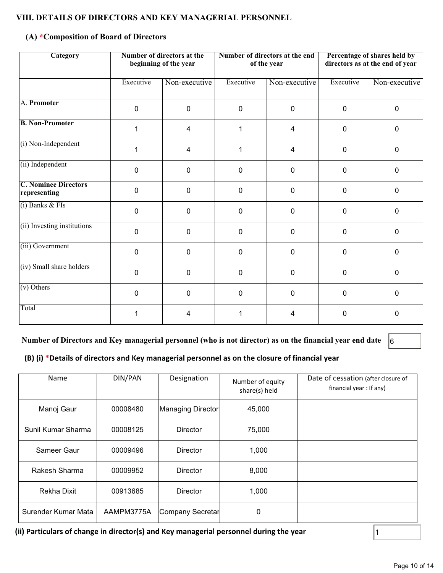## **VIII. DETAILS OF DIRECTORS AND KEY MANAGERIAL PERSONNEL**

## **(A) \*Composition of Board of Directors**

| Category                                    |              | Number of directors at the<br>beginning of the year |                | Number of directors at the end<br>of the year | Percentage of shares held by<br>directors as at the end of year |               |  |
|---------------------------------------------|--------------|-----------------------------------------------------|----------------|-----------------------------------------------|-----------------------------------------------------------------|---------------|--|
|                                             | Executive    | Non-executive                                       | Executive      | Non-executive                                 | Executive                                                       | Non-executive |  |
| A. Promoter                                 | $\mathbf 0$  | $\mathbf 0$                                         | $\mathbf 0$    | 0                                             | $\mathbf 0$                                                     | $\Omega$      |  |
| <b>B. Non-Promoter</b>                      | 1            | 4                                                   | 1              | 4                                             | $\mathbf 0$                                                     | $\Omega$      |  |
| (i) Non-Independent                         | 1            | $\overline{4}$                                      | 1              | 4                                             | $\mathbf 0$                                                     | $\mathbf{0}$  |  |
| (ii) Independent                            | $\mathbf{0}$ | $\mathbf 0$                                         | $\mathbf{0}$   | 0                                             | 0                                                               | $\Omega$      |  |
| <b>C. Nominee Directors</b><br>representing | $\mathbf 0$  | $\mathbf 0$                                         | 0              | 0                                             | $\mathbf 0$                                                     | $\Omega$      |  |
| $(i)$ Banks & FIs                           | $\mathbf 0$  | $\mathbf 0$                                         | $\mathbf 0$    | 0                                             | $\mathbf 0$                                                     | $\mathbf 0$   |  |
| (ii) Investing institutions                 | $\mathbf 0$  | $\mathbf 0$                                         | $\pmb{0}$      | $\mathbf 0$                                   | $\mathbf 0$                                                     | $\mathbf 0$   |  |
| (iii) Government                            | $\mathbf 0$  | $\mathbf 0$                                         | $\overline{0}$ | 0                                             | $\mathbf 0$                                                     | $\Omega$      |  |
| (iv) Small share holders                    | $\Omega$     | $\mathbf 0$                                         | $\mathbf 0$    | 0                                             | 0                                                               | $\mathbf{0}$  |  |
| (v) Others                                  | $\mathbf 0$  | $\mathbf 0$                                         | $\overline{0}$ | $\mathbf 0$                                   | $\mathbf 0$                                                     | 0             |  |
| Total                                       |              | 4                                                   |                | 4                                             | 0                                                               | 0             |  |

**Number of Directors and Key managerial personnel (who is not director) as on the financial year end date** 6

## **(B) (i) \*Details of directors and Key managerial personnel as on the closure of financial year**

| Name                | DIN/PAN    | Designation       | Number of equity<br>share(s) held | Date of cessation (after closure of<br>financial year : If any) |
|---------------------|------------|-------------------|-----------------------------------|-----------------------------------------------------------------|
| Manoj Gaur          | 00008480   | Managing Director | 45,000                            |                                                                 |
| Sunil Kumar Sharma  | 00008125   | <b>Director</b>   | 75,000                            |                                                                 |
| Sameer Gaur         | 00009496   | <b>Director</b>   | 1,000                             |                                                                 |
| Rakesh Sharma       | 00009952   | Director          | 8,000                             |                                                                 |
| Rekha Dixit         | 00913685   | <b>Director</b>   | 1,000                             |                                                                 |
| Surender Kumar Mata | AAMPM3775A | Company Secretar  | $\mathbf 0$                       |                                                                 |

**(ii) Particulars of change in director(s) and Key managerial personnel during the year**  $\vert$ <sup>1</sup>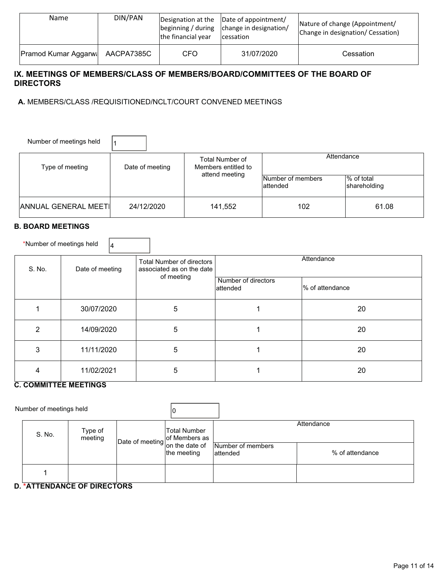| Name                        | DIN/PAN    | the financial year | Designation at the Date of appointment/<br>$\beta$ beginning / during $\alpha$ change in designation/<br>cessation | Nature of change (Appointment/<br>Change in designation/ Cessation) |
|-----------------------------|------------|--------------------|--------------------------------------------------------------------------------------------------------------------|---------------------------------------------------------------------|
| <b>Pramod Kumar Aggarwa</b> | AACPA7385C | <b>CFO</b>         | 31/07/2020                                                                                                         | Cessation                                                           |

## **IX. MEETINGS OF MEMBERS/CLASS OF MEMBERS/BOARD/COMMITTEES OF THE BOARD OF DIRECTORS**

 **A.** MEMBERS/CLASS /REQUISITIONED/NCLT/COURT CONVENED MEETINGS

| Number of meetings held     |                 |                                                          |                                |                            |  |
|-----------------------------|-----------------|----------------------------------------------------------|--------------------------------|----------------------------|--|
| Type of meeting             | Date of meeting | Total Number of<br>Members entitled to<br>attend meeting | Attendance                     |                            |  |
|                             |                 |                                                          | Number of members<br>lattended | % of total<br>shareholding |  |
| <b>ANNUAL GENERAL MEETI</b> | 24/12/2020      | 141,552                                                  | 102                            | 61.08                      |  |

### **B. BOARD MEETINGS**

\*Number of meetings held  $\begin{vmatrix} 4 \end{vmatrix}$ 

S. No. Date of meeting Total Number of directors associated as on the date of meeting **Attendance**  Number of directors attended  $\overline{a}$ % of attendance 1 30/07/2020 5 1 20 2 | 14/09/2020 | 5 | 1 | 20 3 | 11/11/2020 | 5 | 1 | 20 4 11/02/2021 5 1 20

## **C. COMMITTEE MEETINGS**

Number of meetings held  $\vert_0$ S. No. Type of meeting tting **Date of meeting** of Members as<br>on the date of Total Number on the date of the meeting **Attendance** Number of members attended % of attendance 1

## **D. \*ATTENDANCE OF DIRECTORS**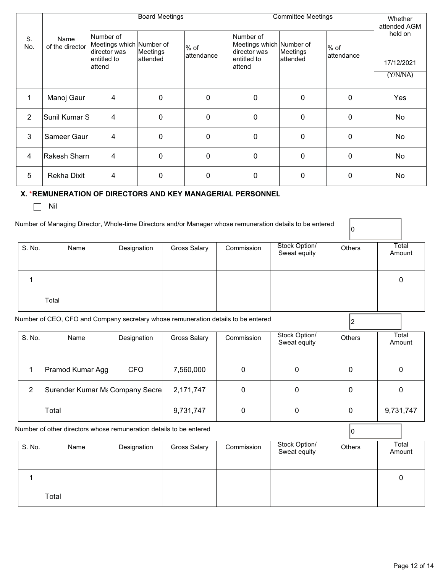|                |                         |                                                       | <b>Board Meetings</b> |                    | <b>Committee Meetings</b>                             | Whether<br>attended AGM |                      |            |
|----------------|-------------------------|-------------------------------------------------------|-----------------------|--------------------|-------------------------------------------------------|-------------------------|----------------------|------------|
| S.<br>No.      | Name<br>of the director | Number of<br>Meetings which Number of<br>director was | Meetings              | % of<br>attendance | Number of<br>Meetings which Number of<br>director was | Meetings                | $%$ of<br>attendance | held on    |
|                |                         | lentitled to<br>attend                                | lattended             |                    | entitled to<br>attend                                 | lattended               |                      | 17/12/2021 |
|                |                         |                                                       |                       |                    |                                                       |                         |                      | (Y/N/NA)   |
| 1              | Manoj Gaur              | 4                                                     | $\mathbf 0$           | $\mathbf{0}$       | 0                                                     | 0                       | $\mathbf 0$          | Yes        |
| $\overline{2}$ | Sunil Kumar S           | $\overline{4}$                                        | 0                     | $\mathbf 0$        | 0                                                     | 0                       | $\mathbf 0$          | No         |
| 3              | Sameer Gaur             | 4                                                     | $\mathbf 0$           | $\mathbf 0$        | 0                                                     | 0                       | $\mathbf 0$          | No         |
| 4              | Rakesh Sharn            | 4                                                     | 0                     | $\mathbf{0}$       | 0                                                     | 0                       | $\Omega$             | No.        |
| 5              | <b>Rekha Dixit</b>      | 4                                                     | 0                     | $\Omega$           | 0                                                     | $\mathbf 0$             | $\Omega$             | No         |

## **X. \*REMUNERATION OF DIRECTORS AND KEY MANAGERIAL PERSONNEL**

 $\Box$  Nil

|        | Number of Managing Director, Whole-time Directors and/or Manager whose remuneration details to be entered |             |              |            |                               | IO            |                 |
|--------|-----------------------------------------------------------------------------------------------------------|-------------|--------------|------------|-------------------------------|---------------|-----------------|
| S. No. | Name                                                                                                      | Designation | Gross Salary | Commission | Stock Option/<br>Sweat equity | <b>Others</b> | Total<br>Amount |
|        |                                                                                                           |             |              |            |                               |               |                 |
|        | Total                                                                                                     |             |              |            |                               |               |                 |

Number of CEO, CFO and Company secretary whose remuneration details to be entered <sup>2</sup>

| S. No. | Name                           | Designation | <b>Gross Salary</b> | Commission | Stock Option/<br>Sweat equity | <b>Others</b> | Total<br>Amount |
|--------|--------------------------------|-------------|---------------------|------------|-------------------------------|---------------|-----------------|
|        | <b>Pramod Kumar Aggl</b>       | CFO         | 7,560,000           | 0          |                               | 0             | 0               |
| 2      | Surender Kumar MaCompany Secre |             | 2,171,747           | 0          |                               | 0             | 0               |
|        | Total                          |             | 9,731,747           |            |                               | 0             | 9,731,747       |

|        | Number of other directors whose remuneration details to be entered |             |              |            |                               |               |                 |
|--------|--------------------------------------------------------------------|-------------|--------------|------------|-------------------------------|---------------|-----------------|
| S. No. | Name                                                               | Designation | Gross Salary | Commission | Stock Option/<br>Sweat equity | <b>Others</b> | Total<br>Amount |
|        |                                                                    |             |              |            |                               |               |                 |
|        | Total                                                              |             |              |            |                               |               |                 |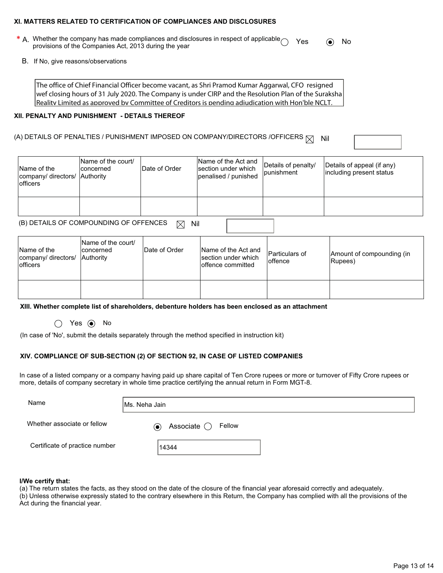#### **XI. MATTERS RELATED TO CERTIFICATION OF COMPLIANCES AND DISCLOSURES**

**\*** A. Whether the company has made compliances and disclosures in respect of applicable ◯ Yes ● No provisions of the Companies Act, 2013 during the year

B. If No, give reasons/observations

The office of Chief Financial Officer become vacant, as Shri Pramod Kumar Aggarwal, CFO resigned wef closing hours of 31 July 2020. The Company is under CIRP and the Resolution Plan of the Suraksha Reality Limited as approved by Committee of Creditors is pending adjudication with Hon'ble NCLT,

#### **XII. PENALTY AND PUNISHMENT - DETAILS THEREOF**

### (A) DETAILS OF PENALTIES / PUNISHMENT IMPOSED ON COMPANY/DIRECTORS /OFFICERS  $\boxtimes$  Nil

Name of the company/ directors/ officers Name of the court/ concerned **Authority** Date of Order Name of the Act and section under which penalised / punished Details of penalty/ punishment Details of appeal (if any) including present status

(B) DETAILS OF COMPOUNDING OF OFFENCES  $\boxtimes$  Nil

| Name of the<br>company/ directors/<br><b>lofficers</b> | Name of the court/<br>Iconcerned<br><b>Authority</b> | Date of Order | Name of the Act and<br>section under which<br>loffence committed | Particulars of<br>loffence | Amount of compounding (in<br>Rupees) |
|--------------------------------------------------------|------------------------------------------------------|---------------|------------------------------------------------------------------|----------------------------|--------------------------------------|
|                                                        |                                                      |               |                                                                  |                            |                                      |

**XIII. Whether complete list of shareholders, debenture holders has been enclosed as an attachment** 

 $\bigcap$  Yes  $\bigcirc$  No

(In case of 'No', submit the details separately through the method specified in instruction kit)

## **XIV. COMPLIANCE OF SUB-SECTION (2) OF SECTION 92, IN CASE OF LISTED COMPANIES**

In case of a listed company or a company having paid up share capital of Ten Crore rupees or more or turnover of Fifty Crore rupees or more, details of company secretary in whole time practice certifying the annual return in Form MGT-8.

| Name                           | Ms. Neha Jain                          |
|--------------------------------|----------------------------------------|
| Whether associate or fellow    | Associate $\bigcirc$ Fellow<br>$\odot$ |
| Certificate of practice number | 14344                                  |

#### **I/We certify that:**

(a) The return states the facts, as they stood on the date of the closure of the financial year aforesaid correctly and adequately.

(b) Unless otherwise expressly stated to the contrary elsewhere in this Return, the Company has complied with all the provisions of the Act during the financial year.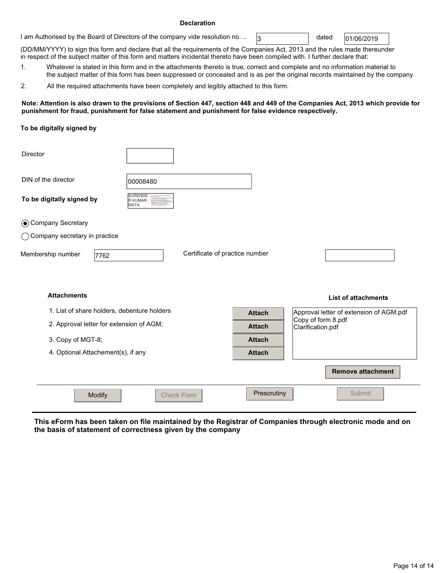#### **Declaration**

1 am Authorised by the Board of Directors of the company vide resolution no. ..  $\sqrt{3}$  dated  $\sqrt{01/06/2019}$ 

dated

(DD/MM/YYYY) to sign this form and declare that all the requirements of the Companies Act, 2013 and the rules made thereunder in respect of the subject matter of this form and matters incidental thereto have been compiled with. I further declare that:

1. Whatever is stated in this form and in the attachments thereto is true, correct and complete and no information material to the subject matter of this form has been suppressed or concealed and is as per the original records maintained by the company.

2. All the required attachments have been completely and legibly attached to this form.

#### **Note: Attention is also drawn to the provisions of Section 447, section 448 and 449 of the Companies Act, 2013 which provide for punishment for fraud, punishment for false statement and punishment for false evidence respectively.**

#### **To be digitally signed by**

| <b>Director</b>                          |                                             |                                |               |                                         |
|------------------------------------------|---------------------------------------------|--------------------------------|---------------|-----------------------------------------|
| DIN of the director                      | 00008480                                    |                                |               |                                         |
| To be digitally signed by                | <b>SURENDE</b><br>R KUMAR<br>MATA           |                                |               |                                         |
| Company Secretary                        |                                             |                                |               |                                         |
| ◯ Company secretary in practice          |                                             |                                |               |                                         |
| Membership number<br>7762                |                                             | Certificate of practice number |               |                                         |
|                                          |                                             |                                |               |                                         |
| <b>Attachments</b>                       |                                             |                                |               | <b>List of attachments</b>              |
|                                          | 1. List of share holders, debenture holders |                                | <b>Attach</b> | Approval letter of extension of AGM.pdf |
| 2. Approval letter for extension of AGM; |                                             |                                | <b>Attach</b> | Copy of form 8.pdf<br>Clarification.pdf |
| 3. Copy of MGT-8;                        |                                             |                                | <b>Attach</b> |                                         |
| 4. Optional Attachement(s), if any       |                                             |                                | <b>Attach</b> |                                         |
|                                          |                                             |                                |               | <b>Remove attachment</b>                |
| Modify                                   | <b>Check Form</b>                           |                                | Prescrutiny   | Submit                                  |
|                                          |                                             |                                |               |                                         |

**This eForm has been taken on file maintained by the Registrar of Companies through electronic mode and on the basis of statement of correctness given by the company**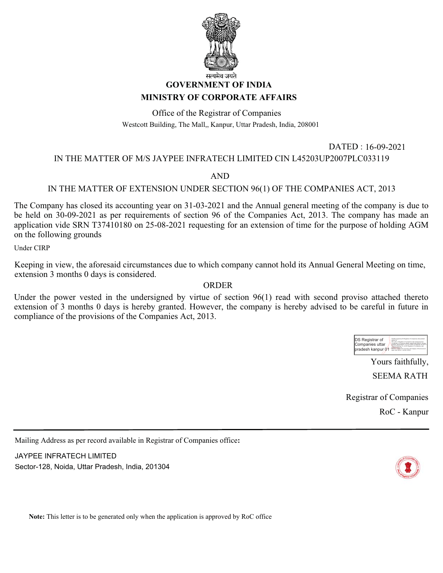

# **GOVERNMENT OF INDIA**

## **MINISTRY OF CORPORATE AFFAIRS**

Office of the Registrar of Companies Westcott Building, The Mall,, Kanpur, Uttar Pradesh, India, 208001

## IN THE MATTER OF M/S JAYPEE INFRATECH LIMITED CIN L45203UP2007PLC033119

## AND

## IN THE MATTER OF EXTENSION UNDER SECTION 96(1) OF THE COMPANIES ACT, 2013

The Company has closed its accounting year on 31-03-2021 and the Annual general meeting of the company is due to be held on 30-09-2021 as per requirements of section 96 of the Companies Act, 2013. The company has made an application vide SRN T37410180 on 25-08-2021 requesting for an extension of time for the purpose of holding AGM on the following grounds

Under CIRP

Keeping in view, the aforesaid circumstances due to which company cannot hold its Annual General Meeting on time, extension 3 months 0 days is considered.

## ORDER

Under the power vested in the undersigned by virtue of section 96(1) read with second proviso attached thereto extension of 3 months 0 days is hereby granted. However, the company is hereby advised to be careful in future in compliance of the provisions of the Companies Act, 2013.



DATED : 16-09-2021

Yours faithfully,

SEEMA RATH

Registrar of Companies

RoC - Kanpur

Mailing Address as per record available in Registrar of Companies office**:**

JAYPEE INFRATECH LIMITED Sector-128, Noida, Uttar Pradesh, India, 201304



**Note:** This letter is to be generated only when the application is approved by RoC office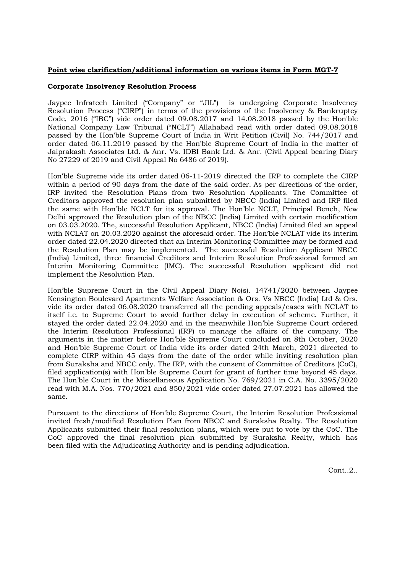### **Point wise clarification/additional information on various items in Form MGT-7**

### **Corporate Insolvency Resolution Process**

Jaypee Infratech Limited ("Company" or "JIL") is undergoing Corporate Insolvency Resolution Process ("CIRP") in terms of the provisions of the Insolvency & Bankruptcy Code, 2016 ("IBC") vide order dated 09.08.2017 and 14.08.2018 passed by the Hon'ble National Company Law Tribunal ("NCLT") Allahabad read with order dated 09.08.2018 passed by the Hon'ble Supreme Court of India in Writ Petition (Civil) No. 744/2017 and order dated 06.11.2019 passed by the Hon'ble Supreme Court of India in the matter of Jaiprakash Associates Ltd. & Anr. Vs. IDBI Bank Ltd. & Anr. (Civil Appeal bearing Diary No 27229 of 2019 and Civil Appeal No 6486 of 2019).

Hon'ble Supreme vide its order dated 06-11-2019 directed the IRP to complete the CIRP within a period of 90 days from the date of the said order. As per directions of the order, IRP invited the Resolution Plans from two Resolution Applicants. The Committee of Creditors approved the resolution plan submitted by NBCC (India) Limited and IRP filed the same with Hon'ble NCLT for its approval. The Hon'ble NCLT, Principal Bench, New Delhi approved the Resolution plan of the NBCC (India) Limited with certain modification on 03.03.2020. The, successful Resolution Applicant, NBCC (India) Limited filed an appeal with NCLAT on 20.03.2020 against the aforesaid order. The Hon'ble NCLAT vide its interim order dated 22.04.2020 directed that an Interim Monitoring Committee may be formed and the Resolution Plan may be implemented. The successful Resolution Applicant NBCC (India) Limited, three financial Creditors and Interim Resolution Professional formed an Interim Monitoring Committee (IMC). The successful Resolution applicant did not implement the Resolution Plan.

Hon'ble Supreme Court in the Civil Appeal Diary No(s). 14741/2020 between Jaypee Kensington Boulevard Apartments Welfare Association & Ors. Vs NBCC (India) Ltd & Ors. vide its order dated 06.08.2020 transferred all the pending appeals/cases with NCLAT to itself i.e. to Supreme Court to avoid further delay in execution of scheme. Further, it stayed the order dated 22.04.2020 and in the meanwhile Hon'ble Supreme Court ordered the Interim Resolution Professional (IRP) to manage the affairs of the company. The arguments in the matter before Hon'ble Supreme Court concluded on 8th October, 2020 and Hon'ble Supreme Court of India vide its order dated 24th March, 2021 directed to complete CIRP within 45 days from the date of the order while inviting resolution plan from Suraksha and NBCC only. The IRP, with the consent of Committee of Creditors (CoC), filed application(s) with Hon'ble Supreme Court for grant of further time beyond 45 days. The Hon'ble Court in the Miscellaneous Application No. 769/2021 in C.A. No. 3395/2020 read with M.A. Nos. 770/2021 and 850/2021 vide order dated 27.07.2021 has allowed the same.

Pursuant to the directions of Hon'ble Supreme Court, the Interim Resolution Professional invited fresh/modified Resolution Plan from NBCC and Suraksha Realty. The Resolution Applicants submitted their final resolution plans, which were put to vote by the CoC. The CoC approved the final resolution plan submitted by Suraksha Realty, which has been filed with the Adjudicating Authority and is pending adjudication.

Cont..2..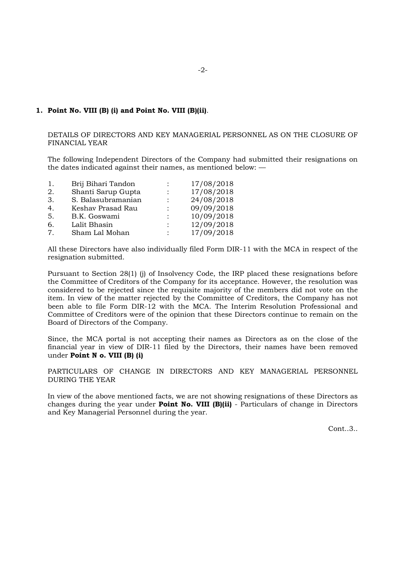### **1. Point No. VIII (B) (i) and Point No. VIII (B)(ii)**.

DETAILS OF DIRECTORS AND KEY MANAGERIAL PERSONNEL AS ON THE CLOSURE OF FINANCIAL YEAR

The following Independent Directors of the Company had submitted their resignations on the dates indicated against their names, as mentioned below: —

| 1.     | Brij Bihari Tandon | 17/08/2018 |
|--------|--------------------|------------|
| 2.     | Shanti Sarup Gupta | 17/08/2018 |
| 3.     | S. Balasubramanian | 24/08/2018 |
| 4.     | Keshav Prasad Rau  | 09/09/2018 |
| 5.     | B.K. Goswami       | 10/09/2018 |
| 6.     | Lalit Bhasin       | 12/09/2018 |
| $\tau$ | Sham Lal Mohan     | 17/09/2018 |

All these Directors have also individually filed Form DIR-11 with the MCA in respect of the resignation submitted.

Pursuant to Section 28(1) (j) of Insolvency Code, the IRP placed these resignations before the Committee of Creditors of the Company for its acceptance. However, the resolution was considered to be rejected since the requisite majority of the members did not vote on the item. In view of the matter rejected by the Committee of Creditors, the Company has not been able to file Form DIR-12 with the MCA. The Interim Resolution Professional and Committee of Creditors were of the opinion that these Directors continue to remain on the Board of Directors of the Company.

Since, the MCA portal is not accepting their names as Directors as on the close of the financial year in view of DIR-11 filed by the Directors, their names have been removed under **Point N o. VIII (B) (i)**

PARTICULARS OF CHANGE IN DIRECTORS AND KEY MANAGERIAL PERSONNEL DURING THE YEAR

In view of the above mentioned facts, we are not showing resignations of these Directors as changes during the year under **Point No. VIII (B)(ii)** - Particulars of change in Directors and Key Managerial Personnel during the year.

Cont..3..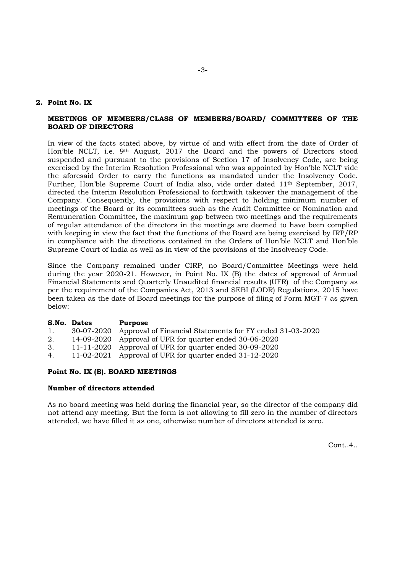### **2. Point No. IX**

#### **MEETINGS OF MEMBERS/CLASS OF MEMBERS/BOARD/ COMMITTEES OF THE BOARD OF DIRECTORS**

In view of the facts stated above, by virtue of and with effect from the date of Order of Hon'ble NCLT, i.e. 9th August, 2017 the Board and the powers of Directors stood suspended and pursuant to the provisions of Section 17 of Insolvency Code, are being exercised by the Interim Resolution Professional who was appointed by Hon'ble NCLT vide the aforesaid Order to carry the functions as mandated under the Insolvency Code. Further, Hon'ble Supreme Court of India also, vide order dated 11<sup>th</sup> September, 2017, directed the Interim Resolution Professional to forthwith takeover the management of the Company. Consequently, the provisions with respect to holding minimum number of meetings of the Board or its committees such as the Audit Committee or Nomination and Remuneration Committee, the maximum gap between two meetings and the requirements of regular attendance of the directors in the meetings are deemed to have been complied with keeping in view the fact that the functions of the Board are being exercised by IRP/RP in compliance with the directions contained in the Orders of Hon'ble NCLT and Hon'ble Supreme Court of India as well as in view of the provisions of the Insolvency Code.

Since the Company remained under CIRP, no Board/Committee Meetings were held during the year 2020-21. However, in Point No. IX (B) the dates of approval of Annual Financial Statements and Quarterly Unaudited financial results (UFR) of the Company as per the requirement of the Companies Act, 2013 and SEBI (LODR) Regulations, 2015 have been taken as the date of Board meetings for the purpose of filing of Form MGT-7 as given below:

| S.No. Dates<br>Purpose                                                    |  |
|---------------------------------------------------------------------------|--|
| 30-07-2020 Approval of Financial Statements for FY ended 31-03-2020<br>1. |  |
| 14-09-2020 Approval of UFR for quarter ended 30-06-2020<br>2.             |  |
| 11-11-2020 Approval of UFR for quarter ended 30-09-2020<br>3.             |  |
| 11-02-2021 Approval of UFR for quarter ended $31-12-2020$<br>4.           |  |

#### **Point No. IX (B). BOARD MEETINGS**

#### **Number of directors attended**

As no board meeting was held during the financial year, so the director of the company did not attend any meeting. But the form is not allowing to fill zero in the number of directors attended, we have filled it as one, otherwise number of directors attended is zero.

Cont..4..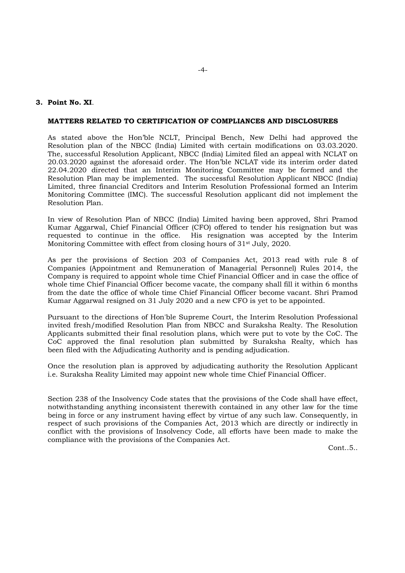### **3. Point No. XI**.

#### **MATTERS RELATED TO CERTIFICATION OF COMPLIANCES AND DISCLOSURES**

As stated above the Hon'ble NCLT, Principal Bench, New Delhi had approved the Resolution plan of the NBCC (India) Limited with certain modifications on 03.03.2020. The, successful Resolution Applicant, NBCC (India) Limited filed an appeal with NCLAT on 20.03.2020 against the aforesaid order. The Hon'ble NCLAT vide its interim order dated 22.04.2020 directed that an Interim Monitoring Committee may be formed and the Resolution Plan may be implemented. The successful Resolution Applicant NBCC (India) Limited, three financial Creditors and Interim Resolution Professional formed an Interim Monitoring Committee (IMC). The successful Resolution applicant did not implement the Resolution Plan.

In view of Resolution Plan of NBCC (India) Limited having been approved, Shri Pramod Kumar Aggarwal, Chief Financial Officer (CFO) offered to tender his resignation but was requested to continue in the office. His resignation was accepted by the Interim Monitoring Committee with effect from closing hours of 31st July, 2020.

As per the provisions of Section 203 of Companies Act, 2013 read with rule 8 of Companies (Appointment and Remuneration of Managerial Personnel) Rules 2014, the Company is required to appoint whole time Chief Financial Officer and in case the office of whole time Chief Financial Officer become vacate, the company shall fill it within 6 months from the date the office of whole time Chief Financial Officer become vacant. Shri Pramod Kumar Aggarwal resigned on 31 July 2020 and a new CFO is yet to be appointed.

Pursuant to the directions of Hon'ble Supreme Court, the Interim Resolution Professional invited fresh/modified Resolution Plan from NBCC and Suraksha Realty. The Resolution Applicants submitted their final resolution plans, which were put to vote by the CoC. The CoC approved the final resolution plan submitted by Suraksha Realty, which has been filed with the Adjudicating Authority and is pending adjudication.

Once the resolution plan is approved by adjudicating authority the Resolution Applicant i.e. Suraksha Reality Limited may appoint new whole time Chief Financial Officer.

Section 238 of the Insolvency Code states that the provisions of the Code shall have effect, notwithstanding anything inconsistent therewith contained in any other law for the time being in force or any instrument having effect by virtue of any such law. Consequently, in respect of such provisions of the Companies Act, 2013 which are directly or indirectly in conflict with the provisions of Insolvency Code, all efforts have been made to make the compliance with the provisions of the Companies Act.

Cont..5..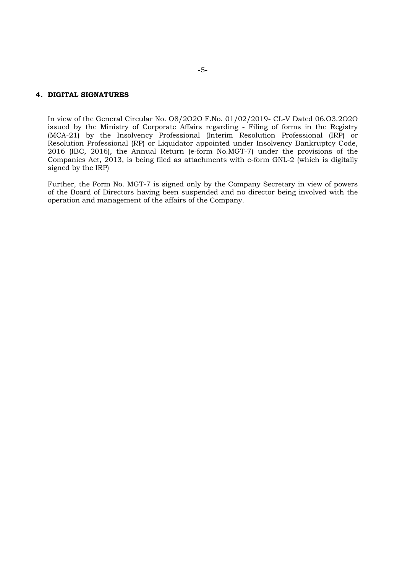## **4. DIGITAL SIGNATURES**

In view of the General Circular No. O8/2O2O F.No. 01/02/2019- CL-V Dated 06.O3.2O2O issued by the Ministry of Corporate Affairs regarding - Filing of forms in the Registry (MCA-21) by the Insolvency Professional (Interim Resolution Professional (IRP) or Resolution Professional (RP) or Liquidator appointed under Insolvency Bankruptcy Code, 2016 (IBC, 2016), the Annual Return (e-form No.MGT-7) under the provisions of the Companies Act, 2013, is being filed as attachments with e-form GNL-2 (which is digitally signed by the IRP)

Further, the Form No. MGT-7 is signed only by the Company Secretary in view of powers of the Board of Directors having been suspended and no director being involved with the operation and management of the affairs of the Company.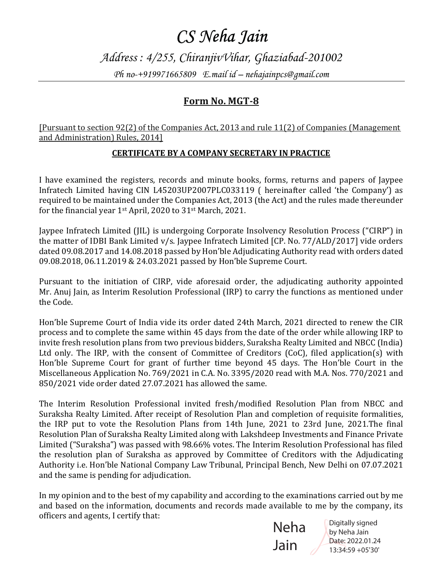Address : 4/255, ChiranjivVihar, Ghaziabad-201002 Ph no-+919971665809 E.mail id – nehajainpcs@gmail.com

## Form No. MGT-8

[Pursuant to section 92(2) of the Companies Act, 2013 and rule 11(2) of Companies (Management and Administration) Rules, 2014]

## CERTIFICATE BY A COMPANY SECRETARY IN PRACTICE

I have examined the registers, records and minute books, forms, returns and papers of Jaypee Infratech Limited having CIN L45203UP2007PLC033119 ( hereinafter called 'the Company') as required to be maintained under the Companies Act, 2013 (the Act) and the rules made thereunder for the financial year 1<sup>st</sup> April, 2020 to 31<sup>st</sup> March, 2021.

Jaypee Infratech Limited (JIL) is undergoing Corporate Insolvency Resolution Process ("CIRP") in the matter of IDBI Bank Limited v/s. Jaypee Infratech Limited [CP. No. 77/ALD/2017] vide orders dated 09.08.2017 and 14.08.2018 passed by Hon'ble Adjudicating Authority read with orders dated 09.08.2018, 06.11.2019 & 24.03.2021 passed by Hon'ble Supreme Court.

Pursuant to the initiation of CIRP, vide aforesaid order, the adjudicating authority appointed Mr. Anuj Jain, as Interim Resolution Professional (IRP) to carry the functions as mentioned under the Code.

Hon'ble Supreme Court of India vide its order dated 24th March, 2021 directed to renew the CIR process and to complete the same within 45 days from the date of the order while allowing IRP to invite fresh resolution plans from two previous bidders, Suraksha Realty Limited and NBCC (India) Ltd only. The IRP, with the consent of Committee of Creditors (CoC), filed application(s) with Hon'ble Supreme Court for grant of further time beyond 45 days. The Hon'ble Court in the Miscellaneous Application No. 769/2021 in C.A. No. 3395/2020 read with M.A. Nos. 770/2021 and 850/2021 vide order dated 27.07.2021 has allowed the same.

The Interim Resolution Professional invited fresh/modified Resolution Plan from NBCC and Suraksha Realty Limited. After receipt of Resolution Plan and completion of requisite formalities, the IRP put to vote the Resolution Plans from 14th June, 2021 to 23rd June, 2021. The final Resolution Plan of Suraksha Realty Limited along with Lakshdeep Investments and Finance Private Limited ("Suraksha") was passed with 98.66% votes. The Interim Resolution Professional has filed the resolution plan of Suraksha as approved by Committee of Creditors with the Adjudicating Authority i.e. Hon'ble National Company Law Tribunal, Principal Bench, New Delhi on 07.07.2021 and the same is pending for adjudication.

In my opinion and to the best of my capability and according to the examinations carried out by me and based on the information, documents and records made available to me by the company, its officers and agents, I certify that:



Digitally signed by Neha Jain Date: 2022.01.24 13:34:59 +05'30'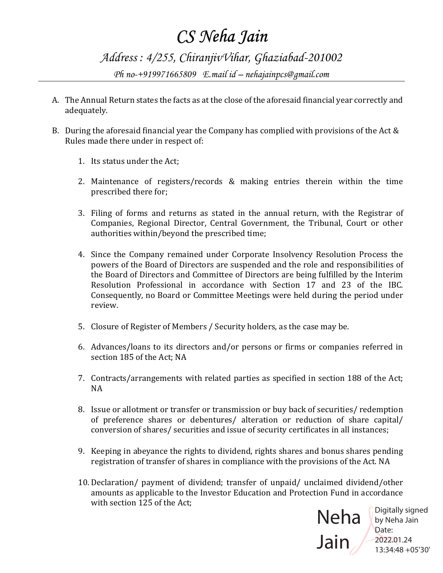Address : 4/255, ChiranjivVihar, Ghaziabad-201002 Ph no-+919971665809 E.mail id – nehajainpcs@gmail.com

- A. The Annual Return states the facts as at the close of the aforesaid financial year correctly and adequately.
- B. During the aforesaid financial year the Company has complied with provisions of the Act & Rules made there under in respect of:
	- 1. Its status under the Act;
	- 2. Maintenance of registers/records & making entries therein within the time prescribed there for;
	- 3. Filing of forms and returns as stated in the annual return, with the Registrar of Companies, Regional Director, Central Government, the Tribunal, Court or other authorities within/beyond the prescribed time;
	- 4. Since the Company remained under Corporate Insolvency Resolution Process the powers of the Board of Directors are suspended and the role and responsibilities of the Board of Directors and Committee of Directors are being fulfilled by the Interim Resolution Professional in accordance with Section 17 and 23 of the IBC. Consequently, no Board or Committee Meetings were held during the period under review.
	- 5. Closure of Register of Members / Security holders, as the case may be.
	- 6. Advances/loans to its directors and/or persons or firms or companies referred in section 185 of the Act: NA
	- 7. Contracts/arrangements with related parties as specified in section 188 of the Act;  $NA$
	- 8. Issue or allotment or transfer or transmission or buy back of securities/ redemption of preference shares or debentures/ alteration or reduction of share capital/ conversion of shares/ securities and issue of security certificates in all instances;
	- 9. Keeping in abeyance the rights to dividend, rights shares and bonus shares pending registration of transfer of shares in compliance with the provisions of the Act. NA
	- 10. Declaration/ payment of dividend; transfer of unpaid/ unclaimed dividend/other amounts as applicable to the Investor Education and Protection Fund in accordance with section 125 of the Act:

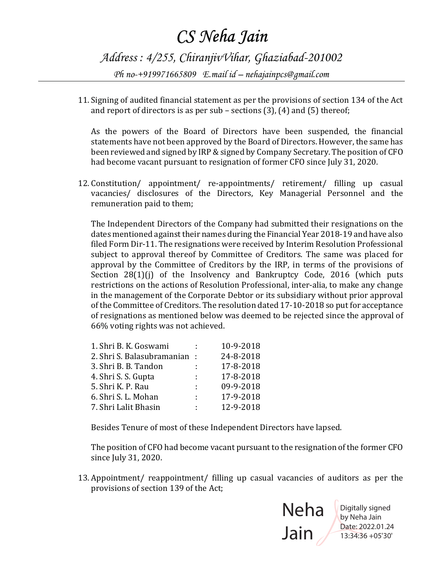Address : 4/255, ChiranjivVihar, Ghaziabad-201002 Ph no-+919971665809 E.mail id – nehajainpcs@gmail.com

11. Signing of audited financial statement as per the provisions of section 134 of the Act and report of directors is as per sub – sections  $(3)$ ,  $(4)$  and  $(5)$  thereof;

As the powers of the Board of Directors have been suspended, the financial statements have not been approved by the Board of Directors. However, the same has been reviewed and signed by IRP & signed by Company Secretary. The position of CFO had become vacant pursuant to resignation of former CFO since July 31, 2020.

12. Constitution/ appointment/ re-appointments/ retirement/ filling up casual vacancies/ disclosures of the Directors, Key Managerial Personnel and the remuneration paid to them;

The Independent Directors of the Company had submitted their resignations on the dates mentioned against their names during the Financial Year 2018-19 and have also filed Form Dir-11. The resignations were received by Interim Resolution Professional subject to approval thereof by Committee of Creditors. The same was placed for approval by the Committee of Creditors by the IRP, in terms of the provisions of Section 28(1)(j) of the Insolvency and Bankruptcy Code, 2016 (which puts restrictions on the actions of Resolution Professional, inter-alia, to make any change in the management of the Corporate Debtor or its subsidiary without prior approval of the Committee of Creditors. The resolution dated 17-10-2018 so put for acceptance of resignations as mentioned below was deemed to be rejected since the approval of 66% voting rights was not achieved.

| 1. Shri B. K. Goswami       |    | 10-9-2018 |
|-----------------------------|----|-----------|
| 2. Shri S. Balasubramanian: |    | 24-8-2018 |
| 3. Shri B. B. Tandon        | ÷  | 17-8-2018 |
| 4. Shri S. S. Gupta         | ÷  | 17-8-2018 |
| 5. Shri K. P. Rau           | ÷  | 09-9-2018 |
| 6. Shri S. L. Mohan         | ÷  | 17-9-2018 |
| 7. Shri Lalit Bhasin        | t. | 12-9-2018 |
|                             |    |           |

Besides Tenure of most of these Independent Directors have lapsed.

The position of CFO had become vacant pursuant to the resignation of the former CFO since July 31, 2020.

13. Appointment/ reappointment/ filling up casual vacancies of auditors as per the provisions of section 139 of the Act;



Digitally signed by Neha Jain Date: 2022.01.24 13:34:36 +05'30'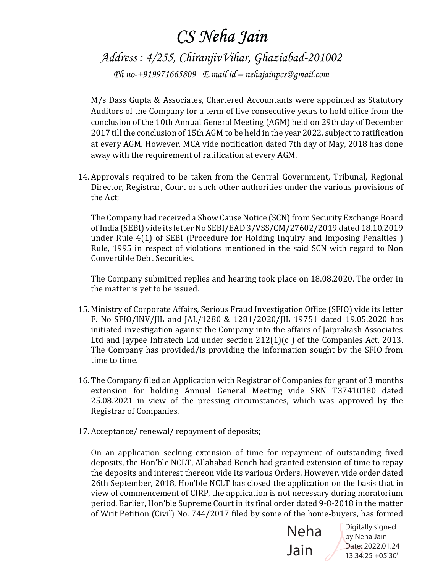Address : 4/255, ChiranjivVihar, Ghaziabad-201002 Ph no-+919971665809 E.mail id – nehajainpcs@gmail.com

M/s Dass Gupta & Associates, Chartered Accountants were appointed as Statutory Auditors of the Company for a term of five consecutive years to hold office from the conclusion of the 10th Annual General Meeting (AGM) held on 29th day of December  $2017$  till the conclusion of  $15$ th  $\mathop{\rm AGM}\nolimits$  to be held in the year  $2022$ , subject to ratification  $\blacksquare$ at every AGM. However, MCA vide notification dated 7th day of May, 2018 has done away with the requirement of ratification at every  $\rm{AGM.}$ 

14. Approvals required to be taken from the Central Government, Tribunal, Regional Director, Registrar, Court or such other authorities under the various provisions of the Act:

The Company had received a Show Cause Notice (SCN) from Security Exchange Board of India (SEBI) vide its letter No SEBI/EAD 3/VSS/CM/27602/2019 dated 18.10.2019 under Rule  $4(1)$  of SEBI (Procedure for Holding Inquiry and Imposing Penalties) Rule, 1995 in respect of violations mentioned in the said SCN with regard to Non Convertible Debt Securities.

The Company submitted replies and hearing took place on 18.08.2020. The order in the matter is yet to be issued.

- 15. Ministry of Corporate Affairs, Serious Fraud Investigation Office (SFIO) vide its letter F. No SFIO/INV/JIL and JAL/1280 & 1281/2020/JIL 19751 dated 19.05.2020 has initiated investigation against the Company into the affairs of Jaiprakash Associates Ltd and Jaypee Infratech Ltd under section  $212(1)(c)$  of the Companies Act, 2013. The Company has provided/is providing the information sought by the SFIO from time to time.
- 16. The Company filed an Application with Registrar of Companies for grant of 3 months extension for holding Annual General Meeting vide SRN T37410180 dated 25.08.2021 in view of the pressing circumstances, which was approved by the Registrar of Companies.
- 17. Acceptance/renewal/repayment of deposits;

On an application seeking extension of time for repayment of outstanding fixed deposits, the Hon'ble NCLT, Allahabad Bench had granted extension of time to repay the deposits and interest thereon vide its various Orders. However, vide order dated 26th September, 2018, Hon'ble NCLT has closed the application on the basis that in view of commencement of CIRP, the application is not necessary during moratorium period. Earlier, Hon'ble Supreme Court in its final order dated 9-8-2018 in the matter of Writ Petition (Civil) No. 744/2017 filed by some of the home-buyers, has formed



Digitally signed by Neha Jain Date: 2022.01.24 13:34:25 +05'30'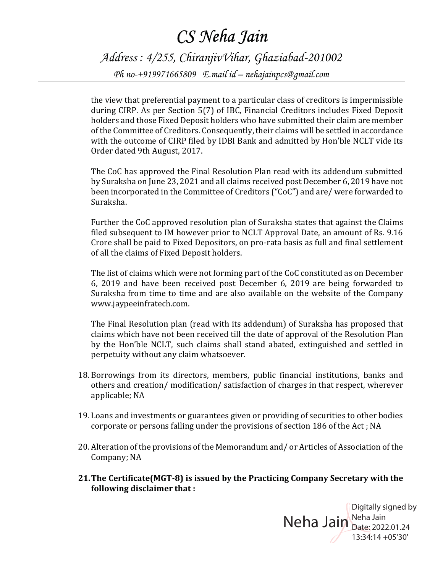Address : 4/255, ChiranjivVihar, Ghaziabad-201002 Ph no-+919971665809 E.mail id – nehajainpcs@gmail.com

the view that preferential payment to a particular class of creditors is impermissible during CIRP. As per Section 5(7) of IBC, Financial Creditors includes Fixed Deposit holders and those Fixed Deposit holders who have submitted their claim are member of the Committee of Creditors. Consequently, their claims will be settled in accordance with the outcome of CIRP filed by IDBI Bank and admitted by Hon'ble NCLT vide its Order dated 9th August, 2017.

The CoC has approved the Final Resolution Plan read with its addendum submitted by Suraksha on June 23, 2021 and all claims received post December 6, 2019 have not been incorporated in the Committee of Creditors ("CoC") and are/were forwarded to Suraksha.

Further the CoC approved resolution plan of Suraksha states that against the Claims filed subsequent to IM however prior to NCLT Approval Date, an amount of Rs. 9.16 Crore shall be paid to Fixed Depositors, on pro-rata basis as full and final settlement of all the claims of Fixed Deposit holders.

The list of claims which were not forming part of the CoC constituted as on December 6, 2019 and have been received post December 6, 2019 are being forwarded to Suraksha from time to time and are also available on the website of the Company www.jaypeeinfratech.com.

The Final Resolution plan (read with its addendum) of Suraksha has proposed that claims which have not been received till the date of approval of the Resolution Plan by the Hon'ble NCLT, such claims shall stand abated, extinguished and settled in perpetuity without any claim whatsoever.

- 18. Borrowings from its directors, members, public financial institutions, banks and others and creation/ modification/ satisfaction of charges in that respect, wherever applicable; NA
- 19. Loans and investments or guarantees given or providing of securities to other bodies corporate or persons falling under the provisions of section 186 of the Act; NA
- 20. Alteration of the provisions of the Memorandum and/ or Articles of Association of the Company; NA
- 21.The Certificate(MGT-8) is issued by the Practicing Company Secretary with the following disclaimer that :

Neha Jain Neha Jain Digitally signed by Date: 2022.01.24 13:34:14 +05'30'